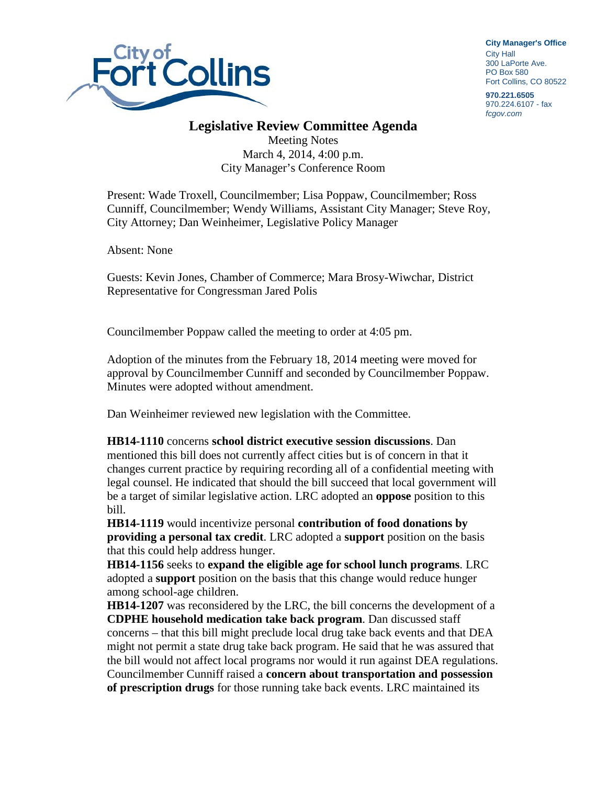

**City Manager**'**s Office** City Hall 300 LaPorte Ave. PO Box 580 Fort Collins, CO 80522

**970.221.6505** 970.224.6107 - fax *fcgov.com*

## **Legislative Review Committee Agenda**

Meeting Notes March 4, 2014, 4:00 p.m. City Manager's Conference Room

Present: Wade Troxell, Councilmember; Lisa Poppaw, Councilmember; Ross Cunniff, Councilmember; Wendy Williams, Assistant City Manager; Steve Roy, City Attorney; Dan Weinheimer, Legislative Policy Manager

Absent: None

Guests: Kevin Jones, Chamber of Commerce; Mara Brosy-Wiwchar, District Representative for Congressman Jared Polis

Councilmember Poppaw called the meeting to order at 4:05 pm.

Adoption of the minutes from the February 18, 2014 meeting were moved for approval by Councilmember Cunniff and seconded by Councilmember Poppaw. Minutes were adopted without amendment.

Dan Weinheimer reviewed new legislation with the Committee.

**HB14-1110** concerns **school district executive session discussions**. Dan mentioned this bill does not currently affect cities but is of concern in that it changes current practice by requiring recording all of a confidential meeting with legal counsel. He indicated that should the bill succeed that local government will be a target of similar legislative action. LRC adopted an **oppose** position to this bill.

**HB14-1119** would incentivize personal **contribution of food donations by providing a personal tax credit**. LRC adopted a **support** position on the basis that this could help address hunger.

**HB14-1156** seeks to **expand the eligible age for school lunch programs**. LRC adopted a **support** position on the basis that this change would reduce hunger among school-age children.

**HB14-1207** was reconsidered by the LRC, the bill concerns the development of a **CDPHE household medication take back program**. Dan discussed staff concerns – that this bill might preclude local drug take back events and that DEA might not permit a state drug take back program. He said that he was assured that the bill would not affect local programs nor would it run against DEA regulations. Councilmember Cunniff raised a **concern about transportation and possession of prescription drugs** for those running take back events. LRC maintained its